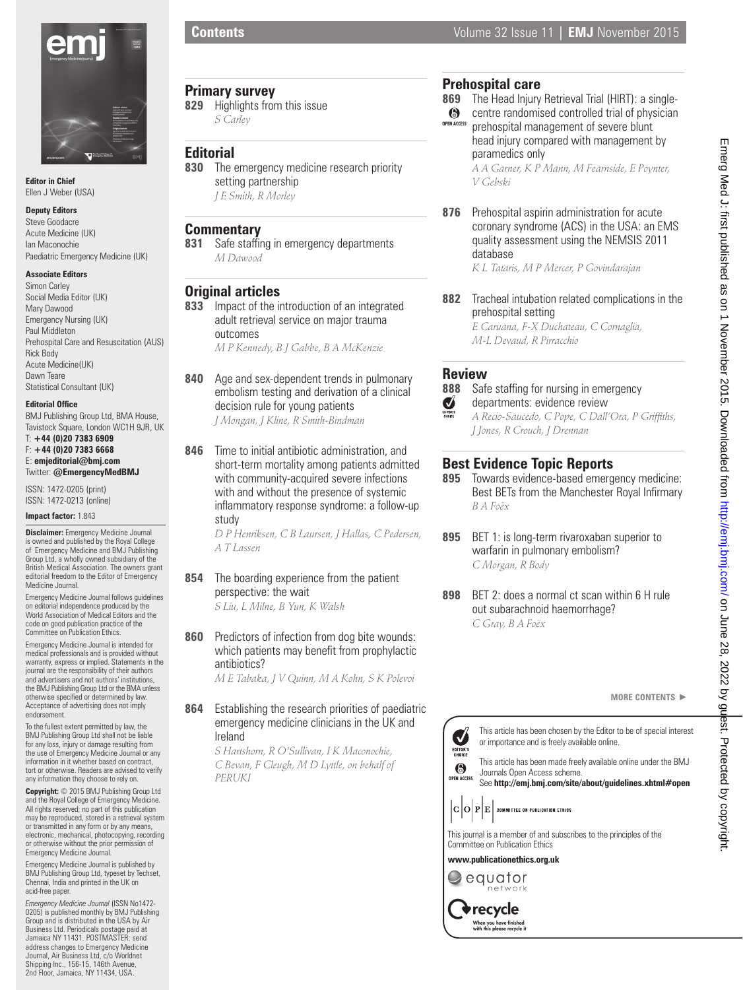

**Editor in Chief** Ellen J Weber (USA)

#### **Deputy Editors**

Steve Goodacre Acute Medicine (UK) Ian Maconochie Paediatric Emergency Medicine (UK)

#### **Associate Editors**

Simon Carley Social Media Editor (UK) Mary Dawood Emergency Nursing (UK) Paul Middleton Prehospital Care and Resuscitation (AUS) Rick Body Acute Medicine(UK) Dawn Teare Statistical Consultant (UK)

#### **Editorial Office**

BMJ Publishing Group Ltd, BMA House, Tavistock Square, London WC1H 9JR, UK T: **+44 (0)20 7383 6909**  F: **+44 (0)20 7383 6668**

#### E: **emjeditorial@bmj.com** Twitter: **@EmergencyMedBMJ**

ISSN: 1472-0205 (print) ISSN: 1472-0213 (online)

#### **Impact factor:** 1.843

**Disclaimer:** Emergency Medicine Journal is owned and published by the Royal College of Emergency Medicine and BMJ Publishing Group Ltd, a wholly owned subsidiary of the British Medical Association. The owners grant editorial freedom to the Editor of Emergency Medicine Journal.

Emergency Medicine Journal follows guidelines on editorial independence produced by the World Association of Medical Editors and the code on good publication practice of the Committee on Publication Ethics.

Emergency Medicine Journal is intended for medical professionals and is provided without warranty, express or implied. Statements in the journal are the responsibility of their authors and advertisers and not authors' institutions, the BMJ Publishing Group Ltd or the BMA unless<br>otherwise specified or determined by law. Acceptance of advertising does not imply endorsement.

To the fullest extent permitted by law, the BMJ Publishing Group Ltd shall not be liable for any loss, injury or damage resulting from the use of Emergency Medicine Journal or any information in it whether based on contract, tort or otherwise. Readers are advised to verify any information they choose to rely on.

**Copyright:** © 2015 BMJ Publishing Group Ltd and the Royal College of Emergency Medicine. All rights reserved; no part of this publication may be reproduced, stored in a retrieval system or transmitted in any form or by any means, electronic, mechanical, photocopying, recording or otherwise without the prior permission of Emergency Medicine Journal.

Emergency Medicine Journal is published by BMJ Publishing Group Ltd, typeset by Techset, Chennai, India and printed in the UK on acid-free paper.

*Emergency Medicine Journal* (ISSN No1472- 0205) is published monthly by BMJ Publishing Group and is distributed in the USA by Air Business Ltd. Periodicals postage paid at Jamaica NY 11431. POSTMASTER: send address changes to Emergency Medicine Journal, Air Business Ltd, c/o Worldnet Shipping Inc., 156-15, 146th Avenue, 2nd Floor, Jamaica, NY 11434, USA.

## **Primary survey**<br>829 Highlights from

**829** Highlights from this issue *S Carley*

**Editorial 830** The emergency medicine research priority setting partnership *J E Smith, R Morley*

#### **Commentary**

**831** Safe staffing in emergency departments *M Dawood*

### **Original articles**

- **833** Impact of the introduction of an integrated adult retrieval service on major trauma outcomes *M P Kennedy, B J Gabbe, B A McKenzie*
- **840** Age and sex-dependent trends in pulmonary embolism testing and derivation of a clinical decision rule for young patients *J Mongan, J Kline, R Smith-Bindman*
- **846** Time to initial antibiotic administration, and short-term mortality among patients admitted with community-acquired severe infections with and without the presence of systemic inflammatory response syndrome: a follow-up study

*D P Henriksen, C B Laursen, J Hallas, C Pedersen, A T Lassen*

- **854** The boarding experience from the patient perspective: the wait *S Liu, L Milne, B Yun, K Walsh*
- **860** Predictors of infection from dog bite wounds: which patients may benefit from prophylactic antibiotics?

*M E Tabaka, J V Quinn, M A Kohn, S K Polevoi*

**864** Establishing the research priorities of paediatric emergency medicine clinicians in the UK and Ireland

> *S Hartshorn, R O'Sullivan, I K Maconochie, C Bevan, F Cleugh, M D Lyttle, on behalf of PERUKI*

# **Prehospital care**<br>869 The Head Injury

- The Head Injury Retrieval Trial (HIRT): a single- $\odot$ centre randomised controlled trial of physician
- prehospital management of severe blunt head injury compared with management by paramedics only **OPEN ACCESS**

*A A Garner, K P Mann, M Fearnside, E Poynter, V Gebski*

**876** Prehospital aspirin administration for acute coronary syndrome (ACS) in the USA: an EMS quality assessment using the NEMSIS 2011 database

*K L Tataris, M P Mercer, P Govindarajan*

**882** Tracheal intubation related complications in the prehospital setting

*E Caruana, F-X Duchateau, C Cornaglia, M-L Devaud, R Pirracchio*

## **Review**<br>888 Safi

**888** Safe staffing for nursing in emergency<br>
departments: evidence review<br>  $\sum_{AB \leq G}$  A Besia Sausedo C Pope C Dall'Ora, B



Emerg Med J: first published as on 1 November 2015. Downloaded from http://emj.com/ on June 28, 2022 by guest. Protected by copyright.

2022 by guest. Protected by copyright

Emerg Med J: first published as on 1 November 2015. Downloaded from http://emj.com/ on June 28,

# **Best Evidence Topic Reports**

*J Jones, R Crouch, J Drennan*

- Towards evidence-based emergency medicine: Best BETs from the Manchester Royal Infirmary *B A Foëx*
- **895** BET 1: is long-term rivaroxaban superior to warfarin in pulmonary embolism? *C Morgan, R Body*
- **898** BET 2: does a normal ct scan within 6 H rule out subarachnoid haemorrhage? *C Gray, B A Foëx*

**MORE CONTENTS** -



**>recycle** When you have finished<br>with this please recycle it